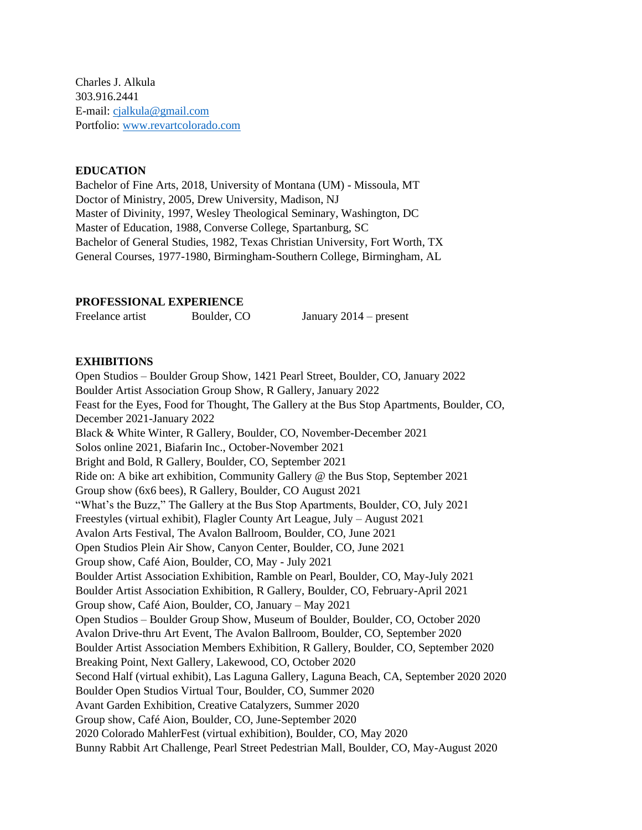Charles J. Alkula 303.916.2441 E-mail[: cjalkula@gmail.com](mailto:cjalkula@gmail.com) Portfolio: [www.revartcolorado.com](http://www.revartcolorado.com/)

## **EDUCATION**

Bachelor of Fine Arts, 2018, University of Montana (UM) - Missoula, MT Doctor of Ministry, 2005, Drew University, Madison, NJ Master of Divinity, 1997, Wesley Theological Seminary, Washington, DC Master of Education, 1988, Converse College, Spartanburg, SC Bachelor of General Studies, 1982, Texas Christian University, Fort Worth, TX General Courses, 1977-1980, Birmingham-Southern College, Birmingham, AL

### **PROFESSIONAL EXPERIENCE**

| Freelance artist | Boulder, CO | January $2014$ – present |
|------------------|-------------|--------------------------|
|------------------|-------------|--------------------------|

## **EXHIBITIONS**

Open Studios – Boulder Group Show, 1421 Pearl Street, Boulder, CO, January 2022 Boulder Artist Association Group Show, R Gallery, January 2022 Feast for the Eyes, Food for Thought, The Gallery at the Bus Stop Apartments, Boulder, CO, December 2021-January 2022 Black & White Winter, R Gallery, Boulder, CO, November-December 2021 Solos online 2021, Biafarin Inc., October-November 2021 Bright and Bold, R Gallery, Boulder, CO, September 2021 Ride on: A bike art exhibition, Community Gallery @ the Bus Stop, September 2021 Group show (6x6 bees), R Gallery, Boulder, CO August 2021 "What's the Buzz," The Gallery at the Bus Stop Apartments, Boulder, CO, July 2021 Freestyles (virtual exhibit), Flagler County Art League, July – August 2021 Avalon Arts Festival, The Avalon Ballroom, Boulder, CO, June 2021 Open Studios Plein Air Show, Canyon Center, Boulder, CO, June 2021 Group show, Café Aion, Boulder, CO, May - July 2021 Boulder Artist Association Exhibition, Ramble on Pearl, Boulder, CO, May-July 2021 Boulder Artist Association Exhibition, R Gallery, Boulder, CO, February-April 2021 Group show, Café Aion, Boulder, CO, January – May 2021 Open Studios – Boulder Group Show, Museum of Boulder, Boulder, CO, October 2020 Avalon Drive-thru Art Event, The Avalon Ballroom, Boulder, CO, September 2020 Boulder Artist Association Members Exhibition, R Gallery, Boulder, CO, September 2020 Breaking Point, Next Gallery, Lakewood, CO, October 2020 Second Half (virtual exhibit), Las Laguna Gallery, Laguna Beach, CA, September 2020 2020 Boulder Open Studios Virtual Tour, Boulder, CO, Summer 2020 Avant Garden Exhibition, Creative Catalyzers, Summer 2020 Group show, Café Aion, Boulder, CO, June-September 2020 2020 Colorado MahlerFest (virtual exhibition), Boulder, CO, May 2020 Bunny Rabbit Art Challenge, Pearl Street Pedestrian Mall, Boulder, CO, May-August 2020